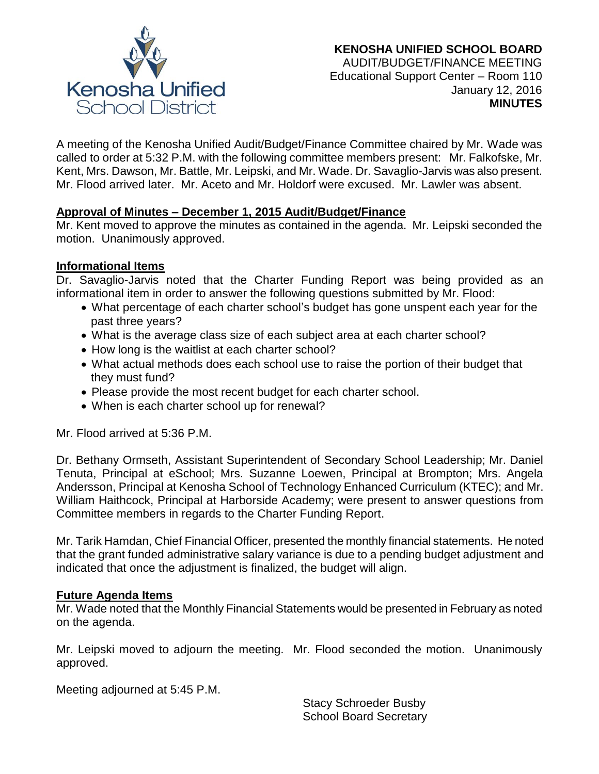

A meeting of the Kenosha Unified Audit/Budget/Finance Committee chaired by Mr. Wade was called to order at 5:32 P.M. with the following committee members present: Mr. Falkofske, Mr. Kent, Mrs. Dawson, Mr. Battle, Mr. Leipski, and Mr. Wade. Dr. Savaglio-Jarvis was also present. Mr. Flood arrived later. Mr. Aceto and Mr. Holdorf were excused. Mr. Lawler was absent.

# **Approval of Minutes – December 1, 2015 Audit/Budget/Finance**

Mr. Kent moved to approve the minutes as contained in the agenda. Mr. Leipski seconded the motion. Unanimously approved.

### **Informational Items**

Dr. Savaglio-Jarvis noted that the Charter Funding Report was being provided as an informational item in order to answer the following questions submitted by Mr. Flood:

- What percentage of each charter school's budget has gone unspent each year for the past three years?
- What is the average class size of each subject area at each charter school?
- How long is the waitlist at each charter school?
- What actual methods does each school use to raise the portion of their budget that they must fund?
- Please provide the most recent budget for each charter school.
- When is each charter school up for renewal?

Mr. Flood arrived at 5:36 P.M.

Dr. Bethany Ormseth, Assistant Superintendent of Secondary School Leadership; Mr. Daniel Tenuta, Principal at eSchool; Mrs. Suzanne Loewen, Principal at Brompton; Mrs. Angela Andersson, Principal at Kenosha School of Technology Enhanced Curriculum (KTEC); and Mr. William Haithcock, Principal at Harborside Academy; were present to answer questions from Committee members in regards to the Charter Funding Report.

Mr. Tarik Hamdan, Chief Financial Officer, presented the monthly financial statements. He noted that the grant funded administrative salary variance is due to a pending budget adjustment and indicated that once the adjustment is finalized, the budget will align.

# **Future Agenda Items**

Mr. Wade noted that the Monthly Financial Statements would be presented in February as noted on the agenda.

Mr. Leipski moved to adjourn the meeting. Mr. Flood seconded the motion. Unanimously approved.

Meeting adjourned at 5:45 P.M.

Stacy Schroeder Busby School Board Secretary